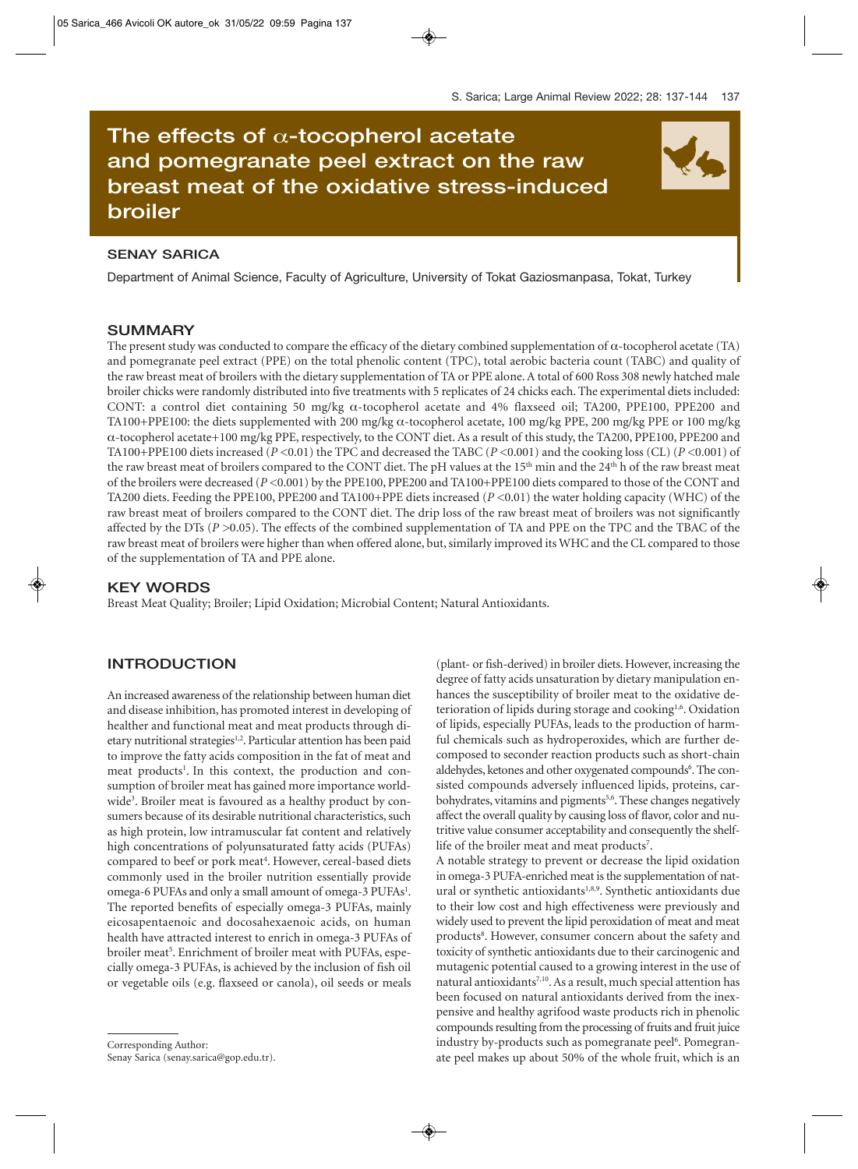# **The effects of** α**-tocopherol acetate and pomegranate peel extract on the raw breast meat of the oxidative stress-induced broiler**

## **SENAY SARICA**

Department of Animal Science, Faculty of Agriculture, University of Tokat Gaziosmanpasa, Tokat, Turkey

## **SUMMARY**

The present study was conducted to compare the efficacy of the dietary combined supplementation of  $\alpha$ -tocopherol acetate (TA) and pomegranate peel extract (PPE) on the total phenolic content (TPC), total aerobic bacteria count (TABC) and quality of the raw breast meat of broilers with the dietary supplementation of TA or PPE alone. A total of 600 Ross 308 newly hatched male broiler chicks were randomly distributed into five treatments with 5 replicates of 24 chicks each. The experimental diets included: CONT: a control diet containing 50 mg/kg α-tocopherol acetate and 4% flaxseed oil; TA200, PPE100, PPE200 and TA100+PPE100: the diets supplemented with 200 mg/kg α-tocopherol acetate, 100 mg/kg PPE, 200 mg/kg PPE or 100 mg/kg α-tocopherol acetate+100 mg/kg PPE, respectively, to the CONT diet. As a result of this study, the TA200, PPE100, PPE200 and TA100+PPE100 diets increased (*P <*0.01) the TPC and decreased the TABC (*P <*0.001) and the cooking loss (CL) (*P <*0.001) of the raw breast meat of broilers compared to the CONT diet. The pH values at the 15<sup>th</sup> min and the 24<sup>th</sup> h of the raw breast meat of the broilers were decreased (*P <*0.001) by the PPE100, PPE200 and TA100+PPE100 diets compared to those of the CONT and TA200 diets. Feeding the PPE100, PPE200 and TA100+PPE diets increased (*P <*0.01) the water holding capacity (WHC) of the raw breast meat of broilers compared to the CONT diet. The drip loss of the raw breast meat of broilers was not significantly affected by the DTs (*P >*0.05). The effects of the combined supplementation of TA and PPE on the TPC and the TBAC of the raw breast meat of broilers were higher than when offered alone, but, similarly improved its WHC and the CL compared to those of the supplementation of TA and PPE alone.

### **KEY WORDS**

Breast Meat Quality; Broiler; Lipid Oxidation; Microbial Content; Natural Antioxidants.

## **INTRODUCTION**

An increased awareness of the relationship between human diet and disease inhibition, has promoted interest in developing of healther and functional meat and meat products through dietary nutritional strategies<sup>1,2</sup>. Particular attention has been paid to improve the fatty acids composition in the fat of meat and meat products<sup>1</sup>. In this context, the production and consumption of broiler meat has gained more importance worldwide<sup>3</sup>. Broiler meat is favoured as a healthy product by consumers because of its desirable nutritional characteristics, such as high protein, low intramuscular fat content and relatively high concentrations of polyunsaturated fatty acids (PUFAs) compared to beef or pork meat<sup>4</sup>. However, cereal-based diets commonly used in the broiler nutrition essentially provide omega-6 PUFAs and only a small amount of omega-3 PUFAs<sup>1</sup>. The reported benefits of especially omega-3 PUFAs, mainly eicosapentaenoic and docosahexaenoic acids, on human health have attracted interest to enrich in omega-3 PUFAs of broiler meat<sup>5</sup>. Enrichment of broiler meat with PUFAs, especially omega-3 PUFAs, is achieved by the inclusion of fish oil or vegetable oils (e.g. flaxseed or canola), oil seeds or meals

(plant- or fish-derived) in broiler diets. However, increasing the degree of fatty acids unsaturation by dietary manipulation enhances the susceptibility of broiler meat to the oxidative deterioration of lipids during storage and cooking<sup>1,6</sup>. Oxidation of lipids, especially PUFAs, leads to the production of harmful chemicals such as hydroperoxides, which are further decomposed to seconder reaction products such as short-chain aldehydes, ketones and other oxygenated compounds<sup>6</sup>. The consisted compounds adversely influenced lipids, proteins, carbohydrates, vitamins and pigments<sup>5,6</sup>. These changes negatively affect the overall quality by causing loss of flavor, color and nutritive value consumer acceptability and consequently the shelflife of the broiler meat and meat products<sup>7</sup>.

A notable strategy to prevent or decrease the lipid oxidation in omega-3 PUFA-enriched meat is the supplementation of natural or synthetic antioxidants<sup>1,8,9</sup>. Synthetic antioxidants due to their low cost and high effectiveness were previously and widely used to prevent the lipid peroxidation of meat and meat products<sup>8</sup>. However, consumer concern about the safety and toxicity of synthetic antioxidants due to their carcinogenic and mutagenic potential caused to a growing interest in the use of natural antioxidants<sup>7,10</sup>. As a result, much special attention has been focused on natural antioxidants derived from the inexpensive and healthy agrifood waste products rich in phenolic compounds resulting from the processing of fruits and fruit juice industry by-products such as pomegranate peel<sup>6</sup>. Pomegranate peel makes up about 50% of the whole fruit, which is an



Corresponding Author:

Senay Sarica (senay.sarica@gop.edu.tr).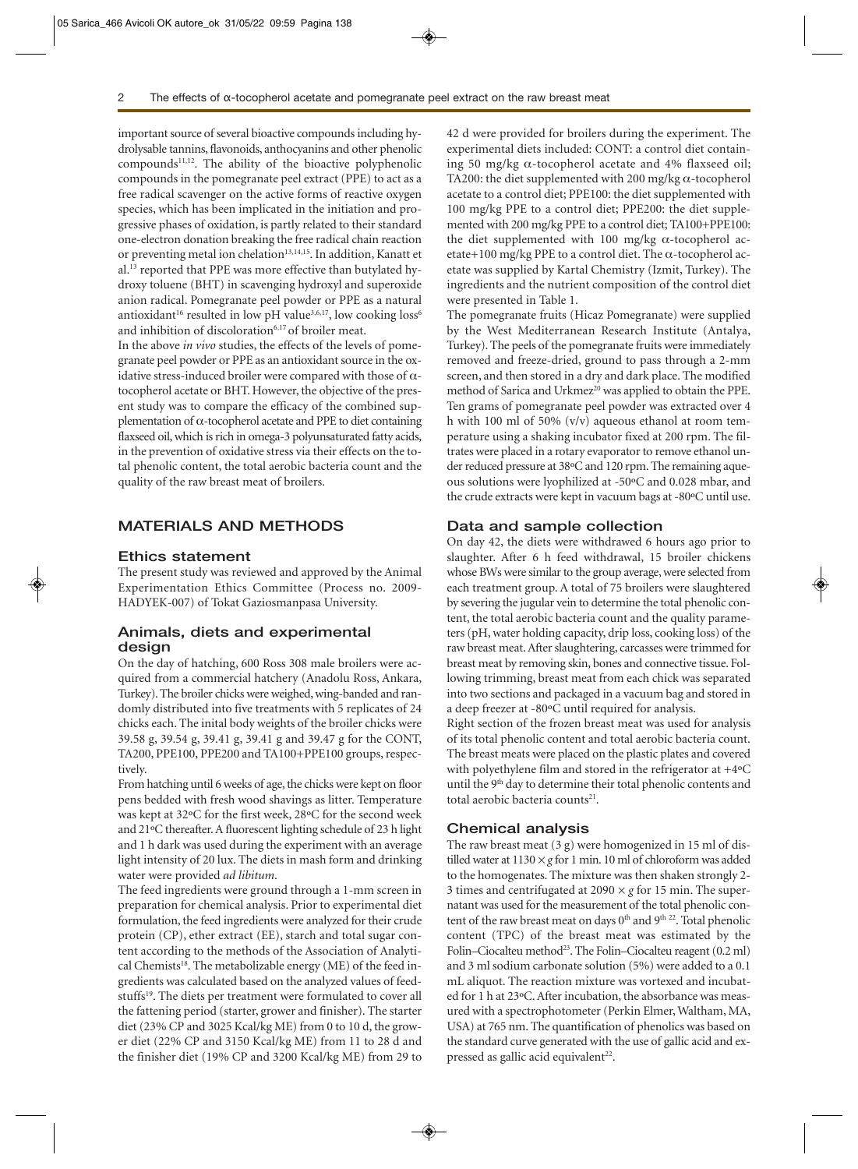important source of several bioactive compounds including hydrolysable tannins, flavonoids, anthocyanins and other phenolic compounds11,12. The ability of the bioactive polyphenolic compounds in the pomegranate peel extract (PPE) to act as a free radical scavenger on the active forms of reactive oxygen species, which has been implicated in the initiation and progressive phases of oxidation, is partly related to their standard one-electron donation breaking the free radical chain reaction or preventing metal ion chelation<sup>13,14,15</sup>. In addition, Kanatt et al.13 reported that PPE was more effective than butylated hydroxy toluene (BHT) in scavenging hydroxyl and superoxide anion radical. Pomegranate peel powder or PPE as a natural antioxidant<sup>16</sup> resulted in low pH value<sup>3,6,17</sup>, low cooking loss<sup>6</sup> and inhibition of discoloration<sup>6,17</sup> of broiler meat.

In the above *in vivo* studies, the effects of the levels of pomegranate peel powder or PPE as an antioxidant source in the oxidative stress-induced broiler were compared with those of  $\alpha$ tocopherol acetate or BHT. However, the objective of the present study was to compare the efficacy of the combined supplementation of α-tocopherol acetate and PPE to diet containing flaxseed oil, which is rich in omega-3 polyunsaturated fatty acids, in the prevention of oxidative stress via their effects on the total phenolic content, the total aerobic bacteria count and the quality of the raw breast meat of broilers.

# **MATERIALS AND METHODS**

#### **Ethics statement**

The present study was reviewed and approved by the Animal Experimentation Ethics Committee (Process no. 2009- HADYEK-007) of Tokat Gaziosmanpasa University.

## **Animals, diets and experimental design**

On the day of hatching, 600 Ross 308 male broilers were acquired from a commercial hatchery (Anadolu Ross, Ankara, Turkey). The broiler chicks were weighed, wing-banded and randomly distributed into five treatments with 5 replicates of 24 chicks each. The inital body weights of the broiler chicks were 39.58 g, 39.54 g, 39.41 g, 39.41 g and 39.47 g for the CONT, TA200, PPE100, PPE200 and TA100+PPE100 groups, respectively.

From hatching until 6 weeks of age, the chicks were kept on floor pens bedded with fresh wood shavings as litter. Temperature was kept at 32ºC for the first week, 28ºC for the second week and 21ºC thereafter. A fluorescent lighting schedule of 23 h light and 1 h dark was used during the experiment with an average light intensity of 20 lux. The diets in mash form and drinking water were provided *ad libitum*.

The feed ingredients were ground through a 1-mm screen in preparation for chemical analysis. Prior to experimental diet formulation, the feed ingredients were analyzed for their crude protein (CP), ether extract (EE), starch and total sugar content according to the methods of the Association of Analytical Chemists<sup>18</sup>. The metabolizable energy (ME) of the feed ingredients was calculated based on the analyzed values of feedstuffs<sup>19</sup>. The diets per treatment were formulated to cover all the fattening period (starter, grower and finisher). The starter diet (23% CP and 3025 Kcal/kg ME) from 0 to 10 d, the grower diet (22% CP and 3150 Kcal/kg ME) from 11 to 28 d and the finisher diet (19% CP and 3200 Kcal/kg ME) from 29 to

42 d were provided for broilers during the experiment. The experimental diets included: CONT: a control diet containing 50 mg/kg  $\alpha$ -tocopherol acetate and 4% flaxseed oil; TA200: the diet supplemented with 200 mg/kg  $\alpha$ -tocopherol acetate to a control diet; PPE100: the diet supplemented with 100 mg/kg PPE to a control diet; PPE200: the diet supplemented with 200 mg/kg PPE to a control diet; TA100+PPE100: the diet supplemented with 100 mg/kg  $α$ -tocopherol acetate+100 mg/kg PPE to a control diet. The  $\alpha$ -tocopherol acetate was supplied by Kartal Chemistry (Izmit, Turkey). The ingredients and the nutrient composition of the control diet were presented in Table 1.

The pomegranate fruits (Hicaz Pomegranate) were supplied by the West Mediterranean Research Institute (Antalya, Turkey). The peels of the pomegranate fruits were immediately removed and freeze-dried, ground to pass through a 2-mm screen, and then stored in a dry and dark place. The modified method of Sarica and Urkmez<sup>20</sup> was applied to obtain the PPE. Ten grams of pomegranate peel powder was extracted over 4 h with 100 ml of 50% (v/v) aqueous ethanol at room temperature using a shaking incubator fixed at 200 rpm. The filtrates were placed in a rotary evaporator to remove ethanol under reduced pressure at 38ºC and 120 rpm. The remaining aqueous solutions were lyophilized at -50ºC and 0.028 mbar, and the crude extracts were kept in vacuum bags at -80ºC until use.

#### **Data and sample collection**

On day 42, the diets were withdrawed 6 hours ago prior to slaughter. After 6 h feed withdrawal, 15 broiler chickens whose BWs were similar to the group average, were selected from each treatment group. A total of 75 broilers were slaughtered by severing the jugular vein to determine the total phenolic content, the total aerobic bacteria count and the quality parameters (pH, water holding capacity, drip loss, cooking loss) of the raw breast meat. After slaughtering, carcasses were trimmed for breast meat by removing skin, bones and connective tissue. Following trimming, breast meat from each chick was separated into two sections and packaged in a vacuum bag and stored in a deep freezer at -80ºC until required for analysis.

Right section of the frozen breast meat was used for analysis of its total phenolic content and total aerobic bacteria count. The breast meats were placed on the plastic plates and covered with polyethylene film and stored in the refrigerator at +4ºC until the 9<sup>th</sup> day to determine their total phenolic contents and total aerobic bacteria counts<sup>21</sup>.

#### **Chemical analysis**

The raw breast meat (3 g) were homogenized in 15 ml of distilled water at 1130 *× g* for 1 min. 10 ml of chloroform was added to the homogenates. The mixture was then shaken strongly 2- 3 times and centrifugated at 2090 *× g* for 15 min. The supernatant was used for the measurement of the total phenolic content of the raw breast meat on days 0<sup>th</sup> and 9<sup>th 22</sup>. Total phenolic content (TPC) of the breast meat was estimated by the Folin–Ciocalteu method<sup>23</sup>. The Folin–Ciocalteu reagent (0.2 ml) and 3 ml sodium carbonate solution (5%) were added to a 0.1 mL aliquot. The reaction mixture was vortexed and incubated for 1 h at 23ºC. After incubation, the absorbance was measured with a spectrophotometer (Perkin Elmer, Waltham, MA, USA) at 765 nm. The quantification of phenolics was based on the standard curve generated with the use of gallic acid and expressed as gallic acid equivalent<sup>22</sup>.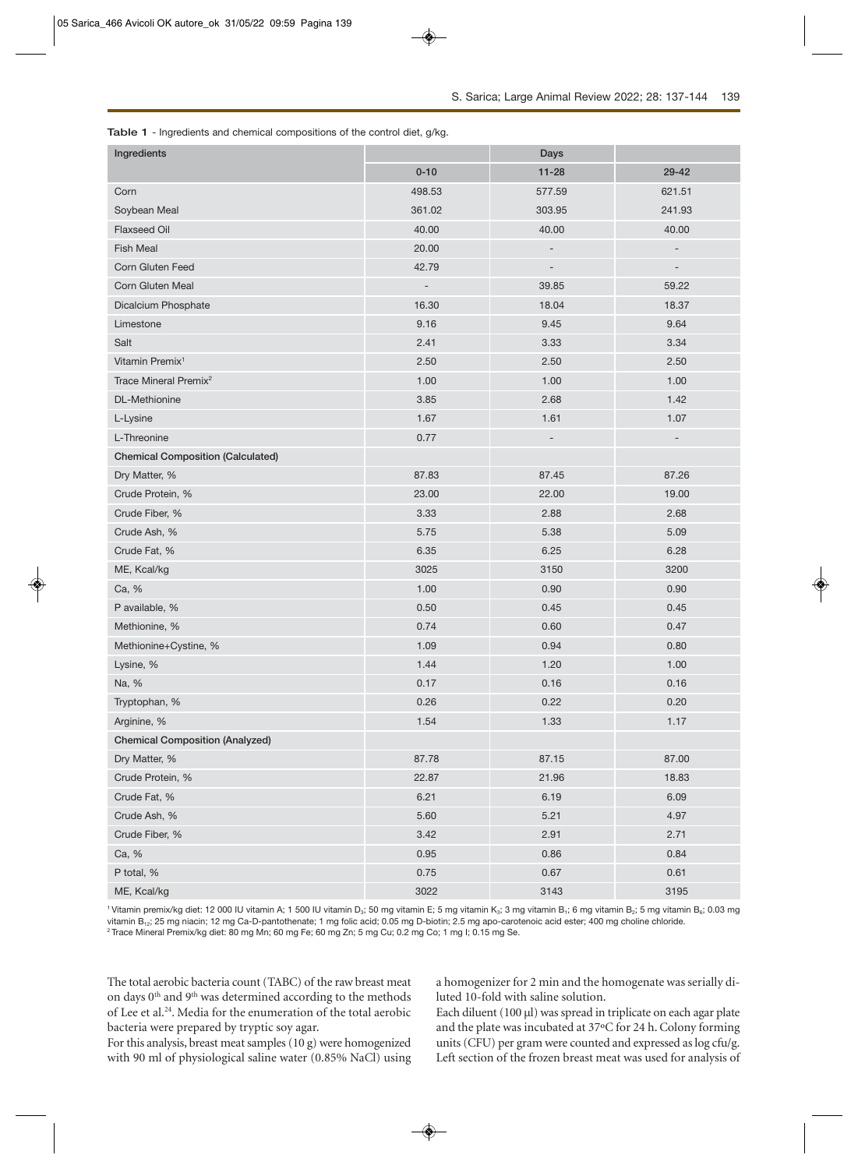| Ingredients                              |                          | Days                     |                          |
|------------------------------------------|--------------------------|--------------------------|--------------------------|
|                                          | $0 - 10$                 | $11 - 28$                | 29-42                    |
| Corn                                     | 498.53                   | 577.59                   | 621.51                   |
| Soybean Meal                             | 361.02                   | 303.95                   | 241.93                   |
| Flaxseed Oil                             | 40.00                    | 40.00                    | 40.00                    |
| <b>Fish Meal</b>                         | 20.00                    | $\overline{\phantom{m}}$ | $\qquad \qquad -$        |
| Corn Gluten Feed                         | 42.79                    | $\overline{\phantom{m}}$ | $\overline{\phantom{m}}$ |
| Corn Gluten Meal                         | $\overline{\phantom{a}}$ | 39.85                    | 59.22                    |
| Dicalcium Phosphate                      | 16.30                    | 18.04                    | 18.37                    |
| Limestone                                | 9.16                     | 9.45                     | 9.64                     |
| Salt                                     | 2.41                     | 3.33                     | 3.34                     |
| Vitamin Premix <sup>1</sup>              | 2.50                     | 2.50                     | 2.50                     |
| Trace Mineral Premix <sup>2</sup>        | 1.00                     | 1.00                     | 1.00                     |
| DL-Methionine                            | 3.85                     | 2.68                     | 1.42                     |
| L-Lysine                                 | 1.67                     | 1.61                     | 1.07                     |
| L-Threonine                              | 0.77                     | $\overline{\phantom{m}}$ | $\overline{\phantom{a}}$ |
| <b>Chemical Composition (Calculated)</b> |                          |                          |                          |
| Dry Matter, %                            | 87.83                    | 87.45                    | 87.26                    |
| Crude Protein, %                         | 23.00                    | 22.00                    | 19.00                    |
| Crude Fiber, %                           | 3.33                     | 2.88                     | 2.68                     |
| Crude Ash, %                             | 5.75                     | 5.38                     | 5.09                     |
| Crude Fat, %                             | 6.35                     | 6.25                     | 6.28                     |
| ME, Kcal/kg                              | 3025                     | 3150                     | 3200                     |
| Ca, %                                    | 1.00                     | 0.90                     | 0.90                     |
| P available, %                           | 0.50                     | 0.45                     | 0.45                     |
| Methionine, %                            | 0.74                     | 0.60                     | 0.47                     |
| Methionine+Cystine, %                    | 1.09                     | 0.94                     | 0.80                     |
| Lysine, %                                | 1.44                     | 1.20                     | 1.00                     |
| Na, %                                    | 0.17                     | 0.16                     | 0.16                     |
| Tryptophan, %                            | 0.26                     | 0.22                     | 0.20                     |
| Arginine, %                              | 1.54                     | 1.33                     | 1.17                     |
| <b>Chemical Composition (Analyzed)</b>   |                          |                          |                          |
| Dry Matter, %                            | 87.78                    | 87.15                    | 87.00                    |
| Crude Protein, %                         | 22.87                    | 21.96                    | 18.83                    |
| Crude Fat, %                             | 6.21                     | 6.19                     | 6.09                     |
| Crude Ash, %                             | 5.60                     | 5.21                     | 4.97                     |
| Crude Fiber, %                           | 3.42                     | 2.91                     | 2.71                     |
| Ca, %                                    | 0.95                     | 0.86                     | 0.84                     |
| P total, %                               | 0.75                     | 0.67                     | 0.61                     |
| ME, Kcal/kg                              | 3022                     | 3143                     | 3195                     |

<sup>1</sup> Vitamin premix/kg diet: 12 000 IU vitamin A; 1 500 IU vitamin D<sub>3</sub>; 50 mg vitamin E; 5 mg vitamin K<sub>3</sub>; 3 mg vitamin B<sub>1</sub>; 6 mg vitamin B<sub>5</sub>; 5 mg vitamin B<sub>6</sub>; 0.03 mg vitamin B<sub>12</sub>; 25 mg niacin; 12 mg Ca-D-pantothenate; 1 mg folic acid; 0.05 mg D-biotin; 2.5 mg apo-carotenoic acid ester; 400 mg choline chloride. <sup>2</sup> Trace Mineral Premix/kg diet: 80 mg Mn; 60 mg Fe; 60 mg Zn; 5 mg Cu; 0.2 mg Co; 1 mg I; 0.15 mg Se.

The total aerobic bacteria count (TABC) of the raw breast meat on days 0<sup>th</sup> and 9<sup>th</sup> was determined according to the methods of Lee et al.24. Media for the enumeration of the total aerobic bacteria were prepared by tryptic soy agar.

For this analysis, breast meat samples (10 g) were homogenized with 90 ml of physiological saline water (0.85% NaCl) using

a homogenizer for 2 min and the homogenate was serially diluted 10-fold with saline solution.

Each diluent  $(100 \mu l)$  was spread in triplicate on each agar plate and the plate was incubated at 37ºC for 24 h. Colony forming units (CFU) per gram were counted and expressed as log cfu/g. Left section of the frozen breast meat was used for analysis of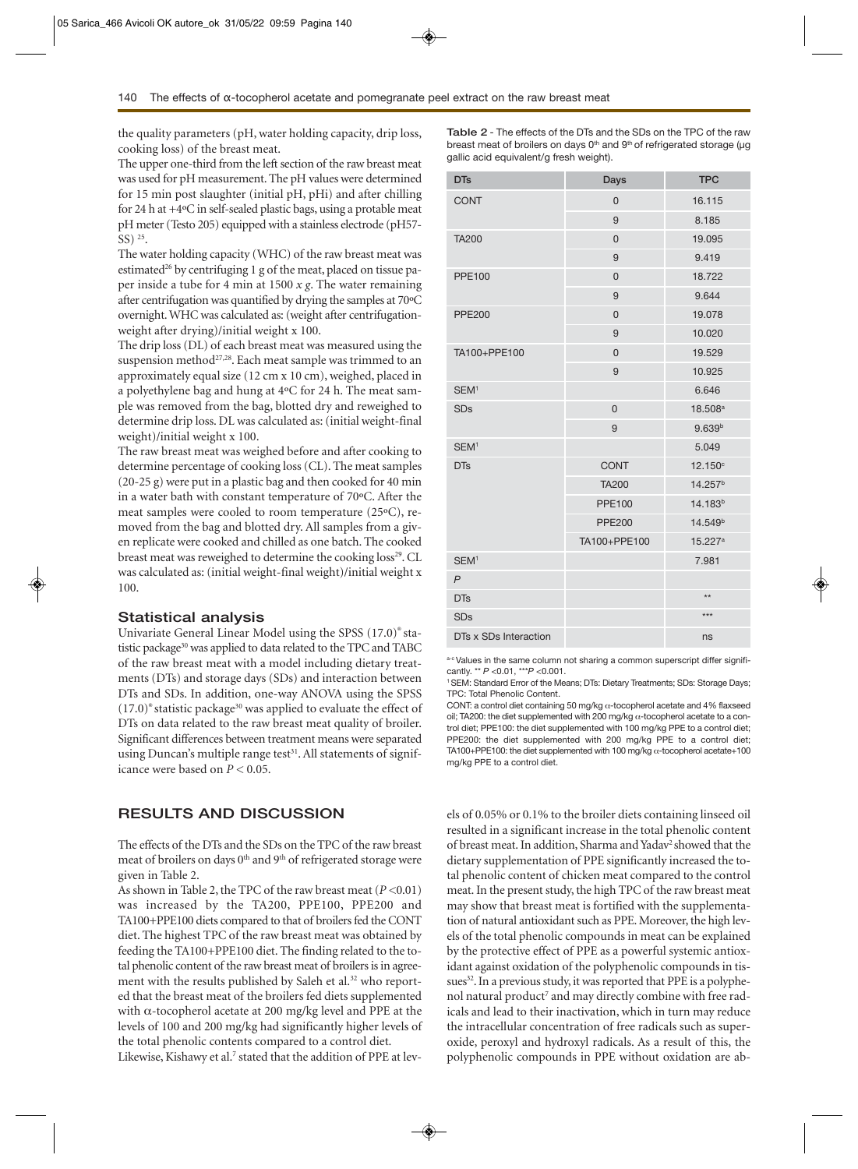the quality parameters (pH, water holding capacity, drip loss, cooking loss) of the breast meat.

The upper one-third from the left section of the raw breast meat was used for pH measurement. The pH values were determined for 15 min post slaughter (initial pH, pHi) and after chilling for 24 h at +4ºC in self-sealed plastic bags, using a protable meat pH meter (Testo 205) equipped with a stainless electrode (pH57- SS) 25.

The water holding capacity (WHC) of the raw breast meat was estimated<sup>26</sup> by centrifuging 1 g of the meat, placed on tissue paper inside a tube for 4 min at 1500 *x g*. The water remaining after centrifugation was quantified by drying the samples at 70ºC overnight. WHC was calculated as: (weight after centrifugationweight after drying)/initial weight x 100.

The drip loss (DL) of each breast meat was measured using the suspension method<sup>27,28</sup>. Each meat sample was trimmed to an approximately equal size (12 cm x 10 cm), weighed, placed in a polyethylene bag and hung at 4ºC for 24 h. The meat sample was removed from the bag, blotted dry and reweighed to determine drip loss. DL was calculated as: (initial weight-final weight)/initial weight x 100.

The raw breast meat was weighed before and after cooking to determine percentage of cooking loss (CL). The meat samples (20-25 g) were put in a plastic bag and then cooked for 40 min in a water bath with constant temperature of 70ºC. After the meat samples were cooled to room temperature (25ºC), removed from the bag and blotted dry. All samples from a given replicate were cooked and chilled as one batch. The cooked breast meat was reweighed to determine the cooking loss<sup>29</sup>. CL was calculated as: (initial weight-final weight)/initial weight x 100.

#### **Statistical analysis**

Univariate General Linear Model using the SPSS (17.0)® statistic package<sup>30</sup> was applied to data related to the TPC and TABC of the raw breast meat with a model including dietary treatments (DTs) and storage days (SDs) and interaction between DTs and SDs. In addition, one-way ANOVA using the SPSS  $(17.0)$ <sup>®</sup> statistic package<sup>30</sup> was applied to evaluate the effect of DTs on data related to the raw breast meat quality of broiler. Significant differences between treatment means were separated using Duncan's multiple range test<sup>31</sup>. All statements of significance were based on *P <* 0.05.

# **RESULTS AND DISCUSSION**

The effects of the DTs and the SDs on the TPC of the raw breast meat of broilers on days 0<sup>th</sup> and 9<sup>th</sup> of refrigerated storage were given in Table 2.

As shown in Table 2, the TPC of the raw breast meat (*P <*0.01) was increased by the TA200, PPE100, PPE200 and TA100+PPE100 diets compared to that of broilers fed the CONT diet. The highest TPC of the raw breast meat was obtained by feeding the TA100+PPE100 diet. The finding related to the total phenolic content of the raw breast meat of broilers is in agreement with the results published by Saleh et al.<sup>32</sup> who reported that the breast meat of the broilers fed diets supplemented with α-tocopherol acetate at 200 mg/kg level and PPE at the levels of 100 and 200 mg/kg had significantly higher levels of the total phenolic contents compared to a control diet.

Likewise, Kishawy et al.<sup>7</sup> stated that the addition of PPE at lev-

**Table 2** - The effects of the DTs and the SDs on the TPC of the raw breast meat of broilers on days  $0<sup>th</sup>$  and  $9<sup>th</sup>$  of refrigerated storage ( $\mu$ g gallic acid equivalent/g fresh weight).

| <b>DTs</b>            | Days           | <b>TPC</b>          |  |
|-----------------------|----------------|---------------------|--|
| <b>CONT</b>           | $\overline{0}$ | 16.115              |  |
|                       | 9              | 8.185               |  |
| <b>TA200</b>          | $\overline{0}$ | 19.095              |  |
|                       | 9              | 9.419               |  |
| <b>PPE100</b>         | $\overline{0}$ | 18.722              |  |
|                       | 9              | 9.644               |  |
| <b>PPE200</b>         | $\overline{0}$ | 19.078              |  |
|                       | 9              | 10.020              |  |
| TA100+PPE100          | $\overline{0}$ | 19.529              |  |
|                       | 9              | 10.925              |  |
| SEM <sup>1</sup>      |                | 6.646               |  |
| <b>SDs</b>            | $\overline{0}$ | 18.508 <sup>a</sup> |  |
|                       | 9              | 9.639 <sup>b</sup>  |  |
| SEM <sup>1</sup>      |                | 5.049               |  |
| <b>DTs</b>            | <b>CONT</b>    | 12.150°             |  |
|                       | <b>TA200</b>   | 14.257 <sup>b</sup> |  |
|                       | <b>PPE100</b>  | 14.183 <sup>b</sup> |  |
|                       | <b>PPE200</b>  | 14.549 <sup>b</sup> |  |
|                       | TA100+PPE100   | 15.227 <sup>a</sup> |  |
| SEM <sup>1</sup>      |                | 7.981               |  |
| $\overline{P}$        |                |                     |  |
| <b>DTs</b>            |                | $**$                |  |
| <b>SDs</b>            |                | $***$               |  |
| DTs x SDs Interaction |                | ns                  |  |

a-c Values in the same column not sharing a common superscript differ significantly. \*\* *P <*0.01, \*\*\**P <*0.001.

1 SEM: Standard Error of the Means; DTs: Dietary Treatments; SDs: Storage Days; TPC: Total Phenolic Content.

CONT: a control diet containing 50 mg/kg α-tocopherol acetate and 4% flaxseed oil; TA200: the diet supplemented with 200 mg/kg  $\alpha$ -tocopherol acetate to a control diet; PPE100: the diet supplemented with 100 mg/kg PPE to a control diet; PPE200: the diet supplemented with 200 mg/kg PPE to a control diet; TA100+PPE100: the diet supplemented with 100 mg/kg  $\alpha$ -tocopherol acetate+100 mg/kg PPE to a control diet.

els of 0.05% or 0.1% to the broiler diets containing linseed oil resulted in a significant increase in the total phenolic content of breast meat. In addition, Sharma and Yadav<sup>2</sup> showed that the dietary supplementation of PPE significantly increased the total phenolic content of chicken meat compared to the control meat. In the present study, the high TPC of the raw breast meat may show that breast meat is fortified with the supplementation of natural antioxidant such as PPE. Moreover, the high levels of the total phenolic compounds in meat can be explained by the protective effect of PPE as a powerful systemic antioxidant against oxidation of the polyphenolic compounds in tissues<sup>32</sup>. In a previous study, it was reported that PPE is a polyphenol natural product<sup>7</sup> and may directly combine with free radicals and lead to their inactivation, which in turn may reduce the intracellular concentration of free radicals such as superoxide, peroxyl and hydroxyl radicals. As a result of this, the polyphenolic compounds in PPE without oxidation are ab-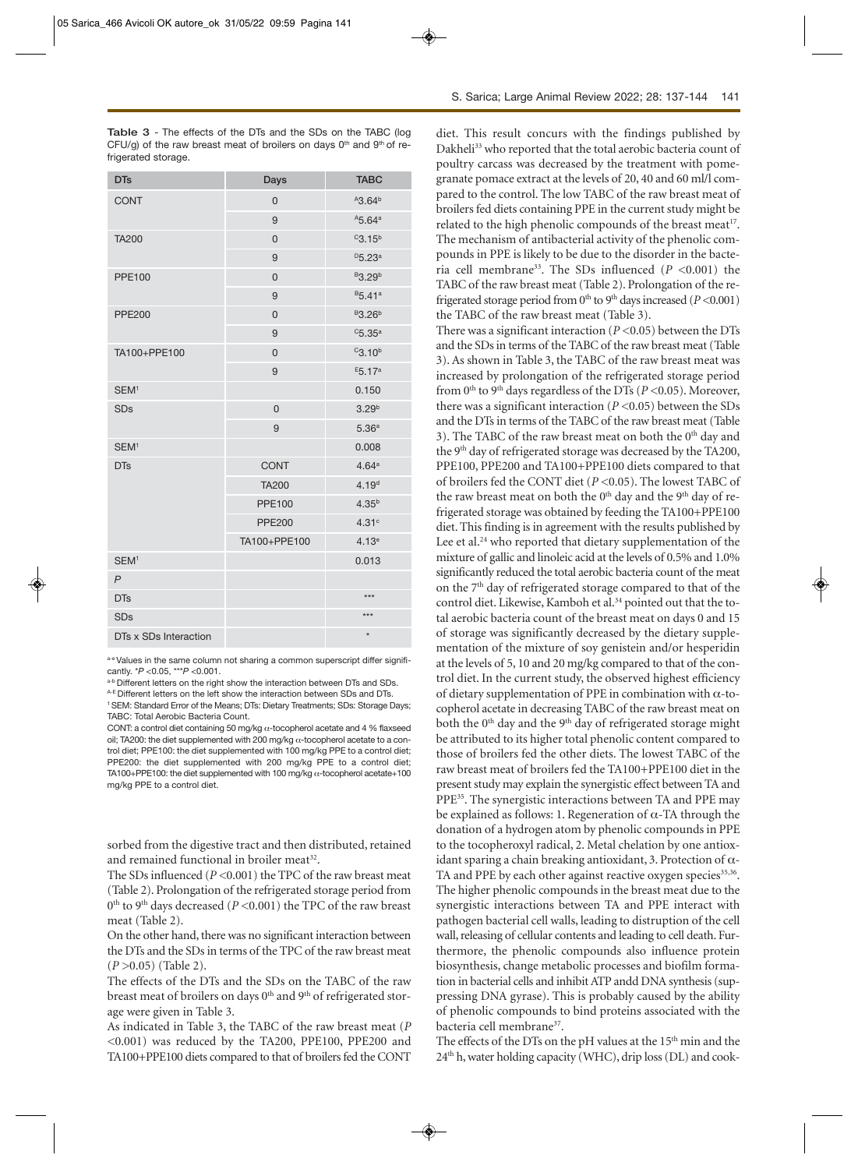**Table 3** - The effects of the DTs and the SDs on the TABC (log CFU/g) of the raw breast meat of broilers on days  $0<sup>th</sup>$  and  $9<sup>th</sup>$  of refrigerated storage.

| <b>DTs</b>            | Days           | <b>TABC</b>                    |  |
|-----------------------|----------------|--------------------------------|--|
| <b>CONT</b>           | $\mathbf 0$    | A3.64 <sup>b</sup>             |  |
|                       | 9              | A5.64a                         |  |
| <b>TA200</b>          | $\overline{0}$ | $C$ 3.15 <sup>b</sup>          |  |
|                       | 9              | D5.23a                         |  |
| <b>PPE100</b>         | $\overline{0}$ | <sup>B</sup> 3.29 <sup>b</sup> |  |
|                       | 9              | <sup>B</sup> 5.41 <sup>a</sup> |  |
| <b>PPE200</b>         | $\mathbf 0$    | <sup>B</sup> 3.26 <sup>b</sup> |  |
|                       | 9              | $C$ 5.35 $a$                   |  |
| TA100+PPE100          | $\overline{0}$ | C3.10 <sup>b</sup>             |  |
|                       | 9              | E5.17 <sup>a</sup>             |  |
| SEM <sup>1</sup>      |                | 0.150                          |  |
| <b>SDs</b>            | $\mathsf 0$    | 3.29 <sup>b</sup>              |  |
|                       | 9              | 5.36 <sup>a</sup>              |  |
| SEM <sup>1</sup>      |                | 0.008                          |  |
| <b>DTs</b>            | <b>CONT</b>    | 4.64 <sup>a</sup>              |  |
|                       | <b>TA200</b>   | 4.19 <sup>d</sup>              |  |
|                       | <b>PPE100</b>  | $4.35^{b}$                     |  |
|                       | <b>PPE200</b>  | 4.31c                          |  |
|                       | TA100+PPE100   | 4.13 <sup>e</sup>              |  |
| SEM <sup>1</sup>      |                | 0.013                          |  |
| $\overline{P}$        |                |                                |  |
| <b>DTs</b>            |                | ***                            |  |
| <b>SDs</b>            |                | $***$                          |  |
| DTs x SDs Interaction |                | $\star$                        |  |

a-e Values in the same column not sharing a common superscript differ significantly. \**P <*0.05, \*\*\**P <*0.001.

a-b Different letters on the right show the interaction between DTs and SDs.

A-E Different letters on the left show the interaction between SDs and DTs. 1 SEM: Standard Error of the Means; DTs: Dietary Treatments; SDs: Storage Days; TABC: Total Aerobic Bacteria Count.

CONT: a control diet containing 50 mg/kg α-tocopherol acetate and 4 % flaxseed oil; TA200: the diet supplemented with 200 mg/kg  $\alpha$ -tocopherol acetate to a control diet; PPE100: the diet supplemented with 100 mg/kg PPE to a control diet; PPE200: the diet supplemented with 200 mg/kg PPE to a control diet; TA100+PPE100: the diet supplemented with 100 mg/kg  $\alpha$ -tocopherol acetate+100 mg/kg PPE to a control diet.

sorbed from the digestive tract and then distributed, retained and remained functional in broiler meat<sup>32</sup>.

The SDs influenced (*P <*0.001) the TPC of the raw breast meat (Table 2). Prolongation of the refrigerated storage period from 0th to 9th days decreased (*P <*0.001) the TPC of the raw breast meat (Table 2).

On the other hand, there was no significant interaction between the DTs and the SDs in terms of the TPC of the raw breast meat (*P >*0.05) (Table 2).

The effects of the DTs and the SDs on the TABC of the raw breast meat of broilers on days 0<sup>th</sup> and 9<sup>th</sup> of refrigerated storage were given in Table 3.

As indicated in Table 3, the TABC of the raw breast meat (*P <*0.001) was reduced by the TA200, PPE100, PPE200 and TA100+PPE100 diets compared to that of broilers fed the CONT

diet. This result concurs with the findings published by Dakheli<sup>33</sup> who reported that the total aerobic bacteria count of poultry carcass was decreased by the treatment with pomegranate pomace extract at the levels of 20, 40 and 60 ml/l compared to the control. The low TABC of the raw breast meat of broilers fed diets containing PPE in the current study might be related to the high phenolic compounds of the breast meat<sup>17</sup>. The mechanism of antibacterial activity of the phenolic compounds in PPE is likely to be due to the disorder in the bacteria cell membrane33. The SDs influenced (*P <*0.001) the TABC of the raw breast meat (Table 2). Prolongation of the refrigerated storage period from 0<sup>th</sup> to 9<sup>th</sup> days increased (*P* <0.001) the TABC of the raw breast meat (Table 3).

There was a significant interaction (*P <*0.05) between the DTs and the SDs in terms of the TABC of the raw breast meat (Table 3). As shown in Table 3, the TABC of the raw breast meat was increased by prolongation of the refrigerated storage period from 0th to 9th days regardless of the DTs (*P <*0.05). Moreover, there was a significant interaction (*P <*0.05) between the SDs and the DTs in terms of the TABC of the raw breast meat (Table 3). The TABC of the raw breast meat on both the 0<sup>th</sup> day and the 9th day of refrigerated storage was decreased by the TA200, PPE100, PPE200 and TA100+PPE100 diets compared to that of broilers fed the CONT diet (*P <*0.05). The lowest TABC of the raw breast meat on both the  $0<sup>th</sup>$  day and the  $9<sup>th</sup>$  day of refrigerated storage was obtained by feeding the TA100+PPE100 diet. This finding is in agreement with the results published by Lee et al.<sup>24</sup> who reported that dietary supplementation of the mixture of gallic and linoleic acid at the levels of 0.5% and 1.0% significantly reduced the total aerobic bacteria count of the meat on the  $7<sup>th</sup>$  day of refrigerated storage compared to that of the control diet. Likewise, Kamboh et al.<sup>34</sup> pointed out that the total aerobic bacteria count of the breast meat on days 0 and 15 of storage was significantly decreased by the dietary supplementation of the mixture of soy genistein and/or hesperidin at the levels of 5, 10 and 20 mg/kg compared to that of the control diet. In the current study, the observed highest efficiency of dietary supplementation of PPE in combination with α-tocopherol acetate in decreasing TABC of the raw breast meat on both the 0<sup>th</sup> day and the 9<sup>th</sup> day of refrigerated storage might be attributed to its higher total phenolic content compared to those of broilers fed the other diets. The lowest TABC of the raw breast meat of broilers fed the TA100+PPE100 diet in the present study may explain the synergistic effect between TA and PPE35. The synergistic interactions between TA and PPE may be explained as follows: 1. Regeneration of  $\alpha$ -TA through the donation of a hydrogen atom by phenolic compounds in PPE to the tocopheroxyl radical, 2. Metal chelation by one antioxidant sparing a chain breaking antioxidant, 3. Protection of  $\alpha$ -TA and PPE by each other against reactive oxygen species<sup>35,36</sup>. The higher phenolic compounds in the breast meat due to the synergistic interactions between TA and PPE interact with pathogen bacterial cell walls, leading to distruption of the cell wall, releasing of cellular contents and leading to cell death. Furthermore, the phenolic compounds also influence protein biosynthesis, change metabolic processes and biofilm formation in bacterial cells and inhibit ATP andd DNA synthesis (suppressing DNA gyrase). This is probably caused by the ability of phenolic compounds to bind proteins associated with the bacteria cell membrane<sup>37</sup>.

The effects of the DTs on the pH values at the 15<sup>th</sup> min and the  $24<sup>th</sup>$  h, water holding capacity (WHC), drip loss (DL) and cook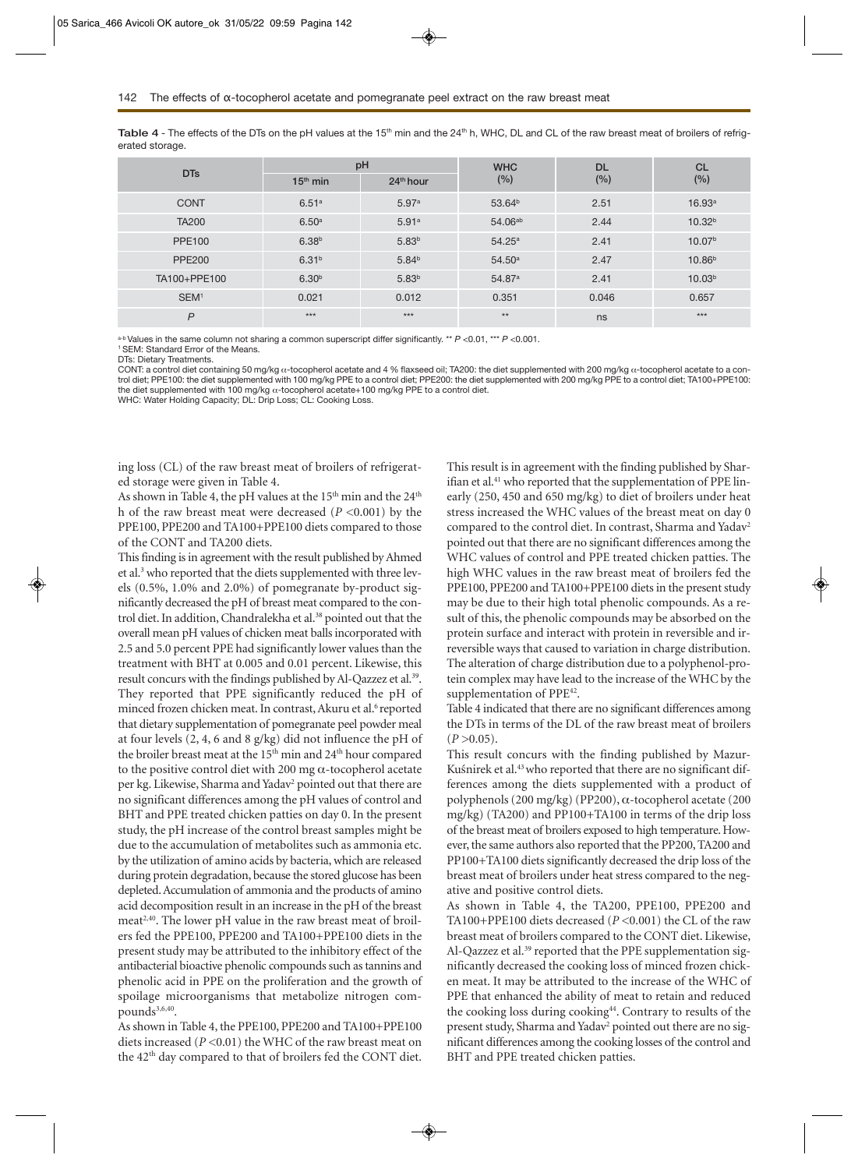Table 4 - The effects of the DTs on the pH values at the 15<sup>th</sup> min and the 24<sup>th</sup> h, WHC, DL and CL of the raw breast meat of broilers of refrigerated storage.

| <b>DTs</b>       | pH                |             | <b>WHC</b>          | <b>DL</b> | <b>CL</b>          |
|------------------|-------------------|-------------|---------------------|-----------|--------------------|
|                  | $15th$ min        | $24th$ hour | (%)                 | (%)       | (%)                |
| <b>CONT</b>      | 6.51a             | 5.97a       | 53.64 <sup>b</sup>  | 2.51      | 16.93a             |
| <b>TA200</b>     | 6.50 <sup>a</sup> | 5.91a       | 54.06 <sup>ab</sup> | 2.44      | 10.32 <sup>b</sup> |
| <b>PPE100</b>    | 6.38 <sup>b</sup> | $5.83^{b}$  | $54.25^{\text{a}}$  | 2.41      | 10.07 <sup>b</sup> |
| <b>PPE200</b>    | 6.31 <sup>b</sup> | $5.84^{b}$  | $54.50^{\rm a}$     | 2.47      | 10.86 <sup>b</sup> |
| TA100+PPE100     | 6.30 <sup>b</sup> | $5.83^{b}$  | 54.87 <sup>a</sup>  | 2.41      | 10.03 <sup>b</sup> |
| SEM <sup>1</sup> | 0.021             | 0.012       | 0.351               | 0.046     | 0.657              |
| P                | $***$             | $***$       | $**$                | ns        | $***$              |

a-b Values in the same column not sharing a common superscript differ significantly. \*\* *P <*0.01, \*\*\* *P <*0.001.

1 SEM: Standard Error of the Means.

DTs: Dietary Treatments.

CONT: a control diet containing 50 mg/kg α-tocopherol acetate and 4 % flaxseed oil; TA200: the diet supplemented with 200 mg/kg α-tocopherol acetate to a control diet; PPE100: the diet supplemented with 100 mg/kg PPE to a control diet; PPE200: the diet supplemented with 200 mg/kg PPE to a control diet; TA100+PPE100: the diet supplemented with 100 mg/kg α-tocopherol acetate+100 mg/kg PPE to a control diet.

WHC: Water Holding Capacity; DL: Drip Loss; CL: Cooking Loss.

ing loss (CL) of the raw breast meat of broilers of refrigerated storage were given in Table 4.

As shown in Table 4, the pH values at the  $15<sup>th</sup>$  min and the  $24<sup>th</sup>$ h of the raw breast meat were decreased (*P <*0.001) by the PPE100, PPE200 and TA100+PPE100 diets compared to those of the CONT and TA200 diets.

This finding is in agreement with the result published by Ahmed et al.<sup>3</sup> who reported that the diets supplemented with three levels (0.5%, 1.0% and 2.0%) of pomegranate by-product significantly decreased the pH of breast meat compared to the control diet. In addition, Chandralekha et al.<sup>38</sup> pointed out that the overall mean pH values of chicken meat balls incorporated with 2.5 and 5.0 percent PPE had significantly lower values than the treatment with BHT at 0.005 and 0.01 percent. Likewise, this result concurs with the findings published by Al-Qazzez et al.<sup>39</sup>. They reported that PPE significantly reduced the pH of minced frozen chicken meat. In contrast, Akuru et al.<sup>6</sup> reported that dietary supplementation of pomegranate peel powder meal at four levels (2, 4, 6 and 8 g/kg) did not influence the pH of the broiler breast meat at the  $15<sup>th</sup>$  min and  $24<sup>th</sup>$  hour compared to the positive control diet with 200 mg  $\alpha$ -tocopherol acetate per kg. Likewise, Sharma and Yadav<sup>2</sup> pointed out that there are no significant differences among the pH values of control and BHT and PPE treated chicken patties on day 0. In the present study, the pH increase of the control breast samples might be due to the accumulation of metabolites such as ammonia etc. by the utilization of amino acids by bacteria, which are released during protein degradation, because the stored glucose has been depleted. Accumulation of ammonia and the products of amino acid decomposition result in an increase in the pH of the breast meat<sup>2,40</sup>. The lower pH value in the raw breast meat of broilers fed the PPE100, PPE200 and TA100+PPE100 diets in the present study may be attributed to the inhibitory effect of the antibacterial bioactive phenolic compounds such as tannins and phenolic acid in PPE on the proliferation and the growth of spoilage microorganisms that metabolize nitrogen compounds<sup>3,6,40</sup>.

As shown in Table 4, the PPE100, PPE200 and TA100+PPE100 diets increased (*P <*0.01) the WHC of the raw breast meat on the 42<sup>th</sup> day compared to that of broilers fed the CONT diet. This result is in agreement with the finding published by Sharifian et al.<sup>41</sup> who reported that the supplementation of PPE linearly (250, 450 and 650 mg/kg) to diet of broilers under heat stress increased the WHC values of the breast meat on day 0 compared to the control diet. In contrast, Sharma and Yadav<sup>2</sup> pointed out that there are no significant differences among the WHC values of control and PPE treated chicken patties. The high WHC values in the raw breast meat of broilers fed the PPE100, PPE200 and TA100+PPE100 diets in the present study may be due to their high total phenolic compounds. As a result of this, the phenolic compounds may be absorbed on the protein surface and interact with protein in reversible and irreversible ways that caused to variation in charge distribution. The alteration of charge distribution due to a polyphenol-protein complex may have lead to the increase of the WHC by the supplementation of PPE<sup>42</sup>.

Table 4 indicated that there are no significant differences among the DTs in terms of the DL of the raw breast meat of broilers  $(P > 0.05)$ .

This result concurs with the finding published by Mazur-Kuśnirek et al.<sup>43</sup> who reported that there are no significant differences among the diets supplemented with a product of polyphenols (200 mg/kg) (PP200), α-tocopherol acetate (200 mg/kg) (TA200) and PP100+TA100 in terms of the drip loss of the breast meat of broilers exposed to high temperature. However, the same authors also reported that the PP200, TA200 and PP100+TA100 diets significantly decreased the drip loss of the breast meat of broilers under heat stress compared to the negative and positive control diets.

As shown in Table 4, the TA200, PPE100, PPE200 and TA100+PPE100 diets decreased (*P <*0.001) the CL of the raw breast meat of broilers compared to the CONT diet. Likewise, Al-Qazzez et al.<sup>39</sup> reported that the PPE supplementation significantly decreased the cooking loss of minced frozen chicken meat. It may be attributed to the increase of the WHC of PPE that enhanced the ability of meat to retain and reduced the cooking loss during cooking<sup>44</sup>. Contrary to results of the present study, Sharma and Yadav<sup>2</sup> pointed out there are no significant differences among the cooking losses of the control and BHT and PPE treated chicken patties.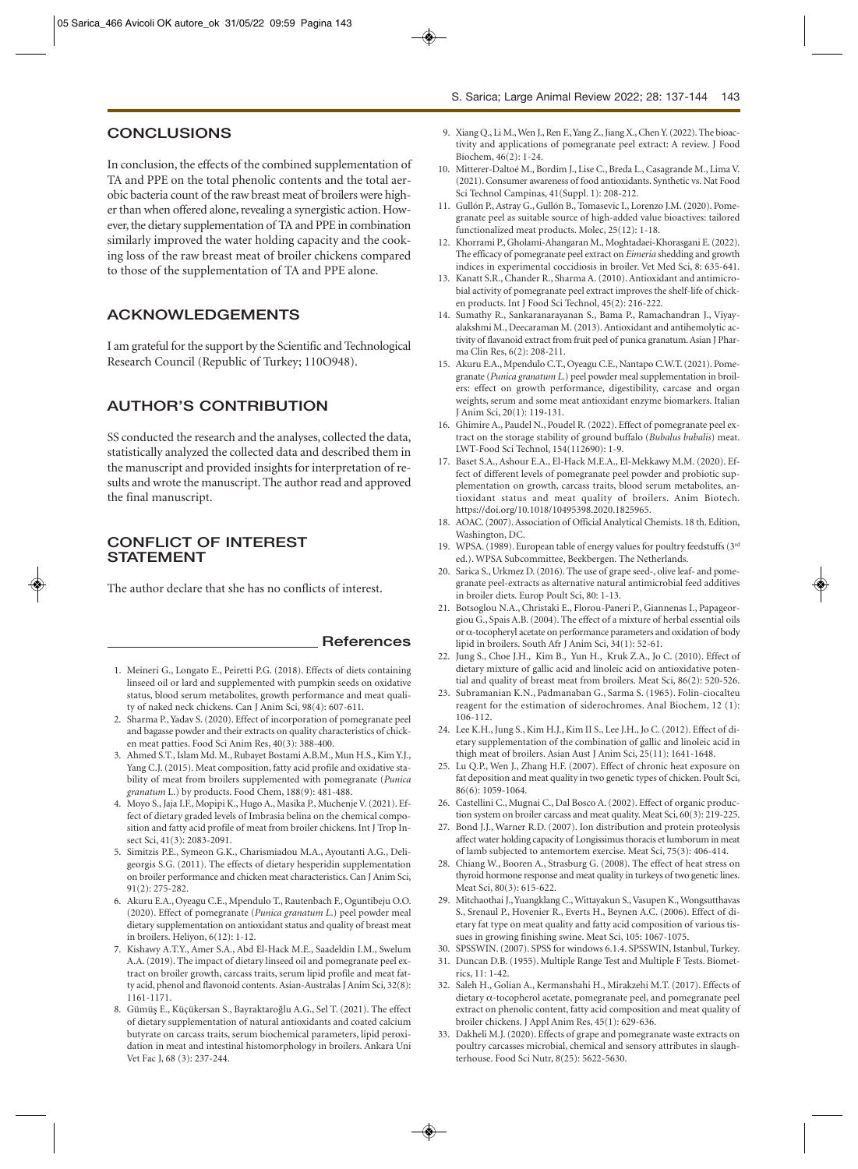## **CONCLUSIONS**

In conclusion, the effects of the combined supplementation of TA and PPE on the total phenolic contents and the total aerobic bacteria count of the raw breast meat of broilers were higher than when offered alone, revealing a synergistic action. However, the dietary supplementation of TA and PPE in combination similarly improved the water holding capacity and the cooking loss of the raw breast meat of broiler chickens compared to those of the supplementation of TA and PPE alone.

# **ACKNOWLEDGEMENTS**

I am grateful for the support by the Scientific and Technological Research Council (Republic of Turkey; 110O948).

# **AUTHOR'S CONTRIBUTION**

SS conducted the research and the analyses, collected the data, statistically analyzed the collected data and described them in the manuscript and provided insights for interpretation of results and wrote the manuscript. The author read and approved the final manuscript.

# **CONFLICT OF INTEREST STATEMENT**

The author declare that she has no conflicts of interest.

1. Meineri G., Longato E., Peiretti P.G. (2018). Effects of diets containing linseed oil or lard and supplemented with pumpkin seeds on oxidative status, blood serum metabolites, growth performance and meat quali-

**References** 

- ty of naked neck chickens. Can J Anim Sci, 98(4): 607-611. 2. Sharma P., Yadav S. (2020). Effect of incorporation of pomegranate peel and bagasse powder and their extracts on quality characteristics of chicken meat patties. Food Sci Anim Res, 40(3): 388-400.
- 3. Ahmed S.T., Islam Md. M., Rubayet Bostami A.B.M., Mun H.S., Kim Y.J., Yang C.J. (2015). Meat composition, fatty acid profile and oxidative stability of meat from broilers supplemented with pomegranate (*Punica granatum* L.) by products. Food Chem, 188(9): 481-488.
- 4. Moyo S., Jaja I.F., Mopipi K., Hugo A., Masika P., Muchenje V. (2021). Effect of dietary graded levels of Imbrasia belina on the chemical composition and fatty acid profile of meat from broiler chickens. Int J Trop Insect Sci, 41(3): 2083-2091.
- 5. Simitzis P.E., Symeon G.K., Charismiadou M.A., Ayoutanti A.G., Deligeorgis S.G. (2011). The effects of dietary hesperidin supplementation on broiler performance and chicken meat characteristics. Can J Anim Sci, 91(2): 275-282.
- 6. Akuru E.A., Oyeagu C.E., Mpendulo T., Rautenbach F., Oguntibeju O.O. (2020). Effect of pomegranate (*Punica granatum L*.) peel powder meal dietary supplementation on antioxidant status and quality of breast meat in broilers. Heliyon, 6(12): 1-12.
- 7. Kishawy A.T.Y., Amer S.A., Abd El-Hack M.E., Saadeldin I.M., Swelum A.A. (2019). The impact of dietary linseed oil and pomegranate peel extract on broiler growth, carcass traits, serum lipid profile and meat fatty acid, phenol and flavonoid contents. Asian-Australas J Anim Sci, 32(8): 1161-1171.
- 8. Gümüş E., Küçükersan S., Bayraktaroğlu A.G., Sel T. (2021). The effect of dietary supplementation of natural antioxidants and coated calcium butyrate on carcass traits, serum biochemical parameters, lipid peroxidation in meat and intestinal histomorphology in broilers. Ankara Uni Vet Fac J, 68 (3): 237-244.
- 9. Xiang Q., Li M., Wen J., Ren F., Yang Z., Jiang X., Chen Y. (2022). The bioactivity and applications of pomegranate peel extract: A review. J Food Biochem, 46(2): 1-24.
- 10. Mitterer-Daltoé M., Bordim J., Lise C., Breda L., Casagrande M., Lima V. (2021). Consumer awareness of food antioxidants. Synthetic vs. Nat Food Sci Technol Campinas, 41(Suppl. 1): 208-212.
- 11. Gullón P., Astray G., Gullón B., Tomasevic I., Lorenzo J.M. (2020). Pomegranate peel as suitable source of high-added value bioactives: tailored functionalized meat products. Molec, 25(12): 1-18.
- 12. Khorrami P., Gholami-Ahangaran M., Moghtadaei-Khorasgani E. (2022). The efficacy of pomegranate peel extract on *Eimeria* shedding and growth indices in experimental coccidiosis in broiler. Vet Med Sci, 8: 635-641.
- 13. Kanatt S.R., Chander R., Sharma A. (2010). Antioxidant and antimicrobial activity of pomegranate peel extract improves the shelf-life of chicken products. Int J Food Sci Technol, 45(2): 216-222.
- 14. Sumathy R., Sankaranarayanan S., Bama P., Ramachandran J., Viyayalakshmi M., Deecaraman M. (2013). Antioxidant and antihemolytic activity of flavanoid extract from fruit peel of punica granatum. Asian J Pharma Clin Res, 6(2): 208-211.
- 15. Akuru E.A., Mpendulo C.T., Oyeagu C.E., Nantapo C.W.T. (2021). Pomegranate (*Punica granatum L*.) peel powder meal supplementation in broilers: effect on growth performance, digestibility, carcase and organ weights, serum and some meat antioxidant enzyme biomarkers. Italian J Anim Sci, 20(1): 119-131.
- 16. Ghimire A., Paudel N., Poudel R. (2022). Effect of pomegranate peel extract on the storage stability of ground buffalo (*Bubalus bubalis*) meat. LWT-Food Sci Technol, 154(112690): 1-9.
- 17. Baset S.A., Ashour E.A., El-Hack M.E.A., El-Mekkawy M.M. (2020). Effect of different levels of pomegranate peel powder and probiotic supplementation on growth, carcass traits, blood serum metabolites, antioxidant status and meat quality of broilers. Anim Biotech. https://doi.org/10.1018/10495398.2020.1825965.
- 18. AOAC. (2007). Association of Official Analytical Chemists. 18 th. Edition, Washington, DC.
- 19. WPSA. (1989). European table of energy values for poultry feedstuffs (3rd ed.). WPSA Subcommittee, Beekbergen. The Netherlands.
- 20. Sarica S., Urkmez D. (2016). The use of grape seed-, olive leaf- and pomegranate peel-extracts as alternative natural antimicrobial feed additives in broiler diets. Europ Poult Sci, 80: 1-13.
- 21. Botsoglou N.A., Christaki E., Florou-Paneri P., Giannenas I., Papageorgiou G., Spais A.B. (2004). The effect of a mixture of herbal essential oils or α-tocopheryl acetate on performance parameters and oxidation of body lipid in broilers. South Afr J Anim Sci, 34(1): 52-61.
- 22. Jung S., Choe J.H., Kim B., Yun H., Kruk Z.A., Jo C. (2010). Effect of dietary mixture of gallic acid and linoleic acid on antioxidative potential and quality of breast meat from broilers. Meat Sci, 86(2): 520-526.
- 23. Subramanian K.N., Padmanaban G., Sarma S. (1965). Folin-ciocalteu reagent for the estimation of siderochromes. Anal Biochem, 12 (1): 106-112.
- 24. Lee K.H., Jung S., Kim H.J., Kim II S., Lee J.H., Jo C. (2012). Effect of dietary supplementation of the combination of gallic and linoleic acid in thigh meat of broilers. Asian Aust J Anim Sci, 25(11): 1641-1648.
- 25. Lu Q.P., Wen J., Zhang H.F. (2007). Effect of chronic heat exposure on fat deposition and meat quality in two genetic types of chicken. Poult Sci, 86(6): 1059-1064.
- 26. Castellini C., Mugnai C., Dal Bosco A. (2002). Effect of organic production system on broiler carcass and meat quality. Meat Sci, 60(3): 219-225.
- 27. Bond J.J., Warner R.D. (2007). Ion distribution and protein proteolysis affect water holding capacity of Longissimus thoracis et lumborum in meat of lamb subjected to antemortem exercise. Meat Sci, 75(3): 406-414.
- 28. Chiang W., Booren A., Strasburg G. (2008). The effect of heat stress on thyroid hormone response and meat quality in turkeys of two genetic lines. Meat Sci, 80(3): 615-622.
- 29. Mitchaothai J., Yuangklang C., Wittayakun S., Vasupen K., Wongsutthavas S., Srenaul P., Hovenier R., Everts H., Beynen A.C. (2006). Effect of dietary fat type on meat quality and fatty acid composition of various tissues in growing finishing swine. Meat Sci, 105: 1067-1075.
- 30. SPSSWIN. (2007). SPSS for windows 6.1.4. SPSSWIN, Istanbul, Turkey.
- 31. Duncan D.B. (1955). Multiple Range Test and Multiple F Tests. Biometrics, 11: 1-42.
- 32. Saleh H., Golian A., Kermanshahi H., Mirakzehi M.T. (2017). Effects of dietary α-tocopherol acetate, pomegranate peel, and pomegranate peel extract on phenolic content, fatty acid composition and meat quality of broiler chickens. J Appl Anim Res, 45(1): 629-636.
- 33. Dakheli M.J. (2020). Effects of grape and pomegranate waste extracts on poultry carcasses microbial, chemical and sensory attributes in slaughterhouse. Food Sci Nutr, 8(25): 5622-5630.